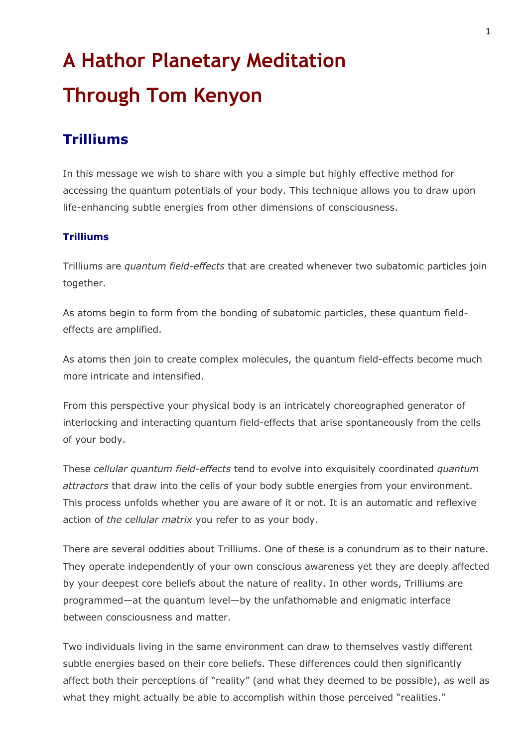# **A Hathor Planetary Meditation Through Tom Kenyon**

## **Trilliums**

In this message we wish to share with you a simple but highly effective method for accessing the quantum potentials of your body. This technique allows you to draw upon life-enhancing subtle energies from other dimensions of consciousness.

#### **Trilliums**

Trilliums are *quantum field-effects* that are created whenever two subatomic particles join together.

As atoms begin to form from the bonding of subatomic particles, these quantum fieldeffects are amplified.

As atoms then join to create complex molecules, the quantum field-effects become much more intricate and intensified.

From this perspective your physical body is an intricately choreographed generator of interlocking and interacting quantum field-effects that arise spontaneously from the cells of your body.

These *cellular quantum field-effects* tend to evolve into exquisitely coordinated *quantum attractors* that draw into the cells of your body subtle energies from your environment. This process unfolds whether you are aware of it or not. It is an automatic and reflexive action of *the cellular matrix* you refer to as your body.

There are several oddities about Trilliums. One of these is a conundrum as to their nature. They operate independently of your own conscious awareness yet they are deeply affected by your deepest core beliefs about the nature of reality. In other words, Trilliums are programmed—at the quantum level—by the unfathomable and enigmatic interface between consciousness and matter.

Two individuals living in the same environment can draw to themselves vastly different subtle energies based on their core beliefs. These differences could then significantly affect both their perceptions of "reality" (and what they deemed to be possible), as well as what they might actually be able to accomplish within those perceived "realities."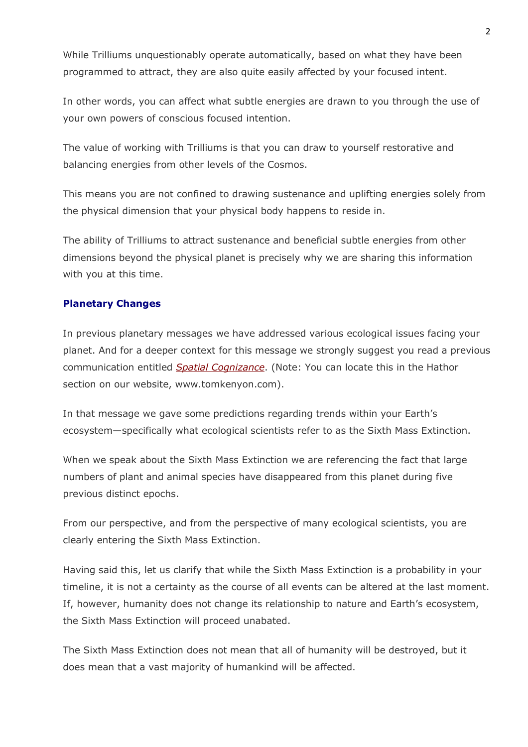While Trilliums unquestionably operate automatically, based on what they have been programmed to attract, they are also quite easily affected by your focused intent.

In other words, you can affect what subtle energies are drawn to you through the use of your own powers of conscious focused intention.

The value of working with Trilliums is that you can draw to yourself restorative and balancing energies from other levels of the Cosmos.

This means you are not confined to drawing sustenance and uplifting energies solely from the physical dimension that your physical body happens to reside in.

The ability of Trilliums to attract sustenance and beneficial subtle energies from other dimensions beyond the physical planet is precisely why we are sharing this information with you at this time.

#### **Planetary Changes**

In previous planetary messages we have addressed various ecological issues facing your planet. And for a deeper context for this message we strongly suggest you read a previous communication entitled *Spatial Cognizance*. (Note: You can locate this in the Hathor section on our website, www.tomkenyon.com).

In that message we gave some predictions regarding trends within your Earth's ecosystem—specifically what ecological scientists refer to as the Sixth Mass Extinction.

When we speak about the Sixth Mass Extinction we are referencing the fact that large numbers of plant and animal species have disappeared from this planet during five previous distinct epochs.

From our perspective, and from the perspective of many ecological scientists, you are clearly entering the Sixth Mass Extinction.

Having said this, let us clarify that while the Sixth Mass Extinction is a probability in your timeline, it is not a certainty as the course of all events can be altered at the last moment. If, however, humanity does not change its relationship to nature and Earth's ecosystem, the Sixth Mass Extinction will proceed unabated.

The Sixth Mass Extinction does not mean that all of humanity will be destroyed, but it does mean that a vast majority of humankind will be affected.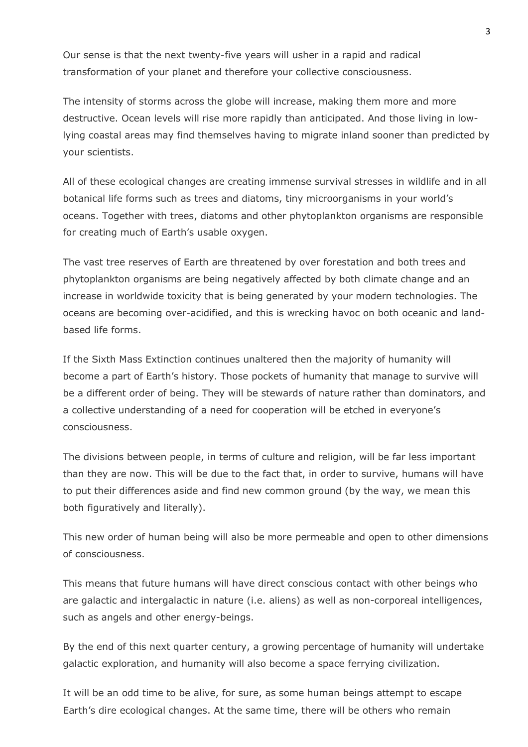Our sense is that the next twenty-five years will usher in a rapid and radical transformation of your planet and therefore your collective consciousness.

The intensity of storms across the globe will increase, making them more and more destructive. Ocean levels will rise more rapidly than anticipated. And those living in lowlying coastal areas may find themselves having to migrate inland sooner than predicted by your scientists.

All of these ecological changes are creating immense survival stresses in wildlife and in all botanical life forms such as trees and diatoms, tiny microorganisms in your world's oceans. Together with trees, diatoms and other phytoplankton organisms are responsible for creating much of Earth's usable oxygen.

The vast tree reserves of Earth are threatened by over forestation and both trees and phytoplankton organisms are being negatively affected by both climate change and an increase in worldwide toxicity that is being generated by your modern technologies. The oceans are becoming over-acidified, and this is wrecking havoc on both oceanic and landbased life forms.

If the Sixth Mass Extinction continues unaltered then the majority of humanity will become a part of Earth's history. Those pockets of humanity that manage to survive will be a different order of being. They will be stewards of nature rather than dominators, and a collective understanding of a need for cooperation will be etched in everyone's consciousness.

The divisions between people, in terms of culture and religion, will be far less important than they are now. This will be due to the fact that, in order to survive, humans will have to put their differences aside and find new common ground (by the way, we mean this both figuratively and literally).

This new order of human being will also be more permeable and open to other dimensions of consciousness.

This means that future humans will have direct conscious contact with other beings who are galactic and intergalactic in nature (i.e. aliens) as well as non-corporeal intelligences, such as angels and other energy-beings.

By the end of this next quarter century, a growing percentage of humanity will undertake galactic exploration, and humanity will also become a space ferrying civilization.

It will be an odd time to be alive, for sure, as some human beings attempt to escape Earth's dire ecological changes. At the same time, there will be others who remain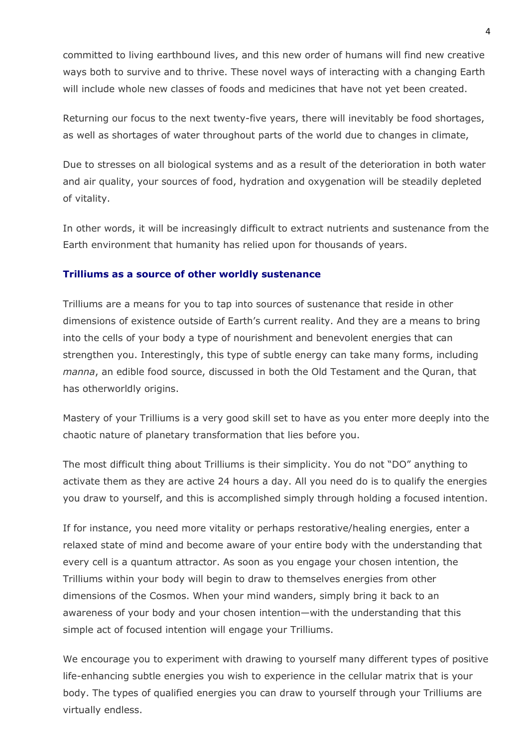committed to living earthbound lives, and this new order of humans will find new creative ways both to survive and to thrive. These novel ways of interacting with a changing Earth will include whole new classes of foods and medicines that have not yet been created.

Returning our focus to the next twenty-five years, there will inevitably be food shortages, as well as shortages of water throughout parts of the world due to changes in climate,

Due to stresses on all biological systems and as a result of the deterioration in both water and air quality, your sources of food, hydration and oxygenation will be steadily depleted of vitality.

In other words, it will be increasingly difficult to extract nutrients and sustenance from the Earth environment that humanity has relied upon for thousands of years.

#### **Trilliums as a source of other worldly sustenance**

Trilliums are a means for you to tap into sources of sustenance that reside in other dimensions of existence outside of Earth's current reality. And they are a means to bring into the cells of your body a type of nourishment and benevolent energies that can strengthen you. Interestingly, this type of subtle energy can take many forms, including *manna*, an edible food source, discussed in both the Old Testament and the Quran, that has otherworldly origins.

Mastery of your Trilliums is a very good skill set to have as you enter more deeply into the chaotic nature of planetary transformation that lies before you.

The most difficult thing about Trilliums is their simplicity. You do not "DO" anything to activate them as they are active 24 hours a day. All you need do is to qualify the energies you draw to yourself, and this is accomplished simply through holding a focused intention.

If for instance, you need more vitality or perhaps restorative/healing energies, enter a relaxed state of mind and become aware of your entire body with the understanding that every cell is a quantum attractor. As soon as you engage your chosen intention, the Trilliums within your body will begin to draw to themselves energies from other dimensions of the Cosmos. When your mind wanders, simply bring it back to an awareness of your body and your chosen intention—with the understanding that this simple act of focused intention will engage your Trilliums.

We encourage you to experiment with drawing to yourself many different types of positive life-enhancing subtle energies you wish to experience in the cellular matrix that is your body. The types of qualified energies you can draw to yourself through your Trilliums are virtually endless.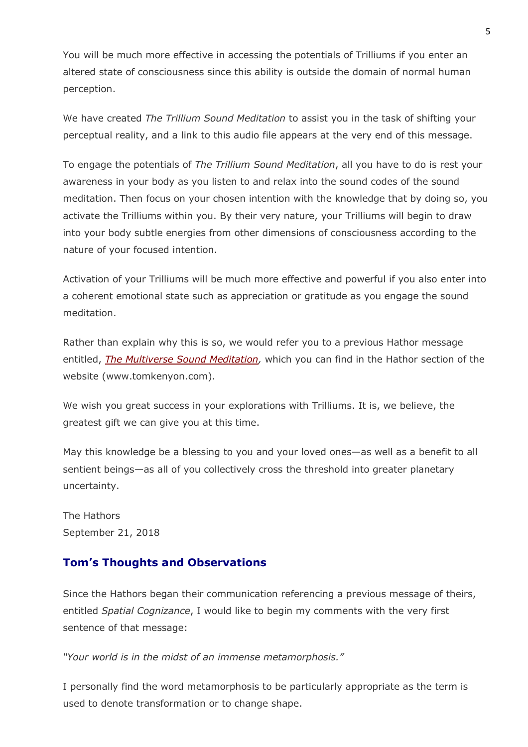You will be much more effective in accessing the potentials of Trilliums if you enter an altered state of consciousness since this ability is outside the domain of normal human perception.

We have created *The Trillium Sound Meditation* to assist you in the task of shifting your perceptual reality, and a link to this audio file appears at the very end of this message.

To engage the potentials of *The Trillium Sound Meditation*, all you have to do is rest your awareness in your body as you listen to and relax into the sound codes of the sound meditation. Then focus on your chosen intention with the knowledge that by doing so, you activate the Trilliums within you. By their very nature, your Trilliums will begin to draw into your body subtle energies from other dimensions of consciousness according to the nature of your focused intention.

Activation of your Trilliums will be much more effective and powerful if you also enter into a coherent emotional state such as appreciation or gratitude as you engage the sound meditation.

Rather than explain why this is so, we would refer you to a previous Hathor message entitled, *The Multiverse Sound Meditation,* which you can find in the Hathor section of the website (www.tomkenyon.com).

We wish you great success in your explorations with Trilliums. It is, we believe, the greatest gift we can give you at this time.

May this knowledge be a blessing to you and your loved ones—as well as a benefit to all sentient beings—as all of you collectively cross the threshold into greater planetary uncertainty.

The Hathors September 21, 2018

### **Tom's Thoughts and Observations**

Since the Hathors began their communication referencing a previous message of theirs, entitled *Spatial Cognizance*, I would like to begin my comments with the very first sentence of that message:

*"Your world is in the midst of an immense metamorphosis."* 

I personally find the word metamorphosis to be particularly appropriate as the term is used to denote transformation or to change shape.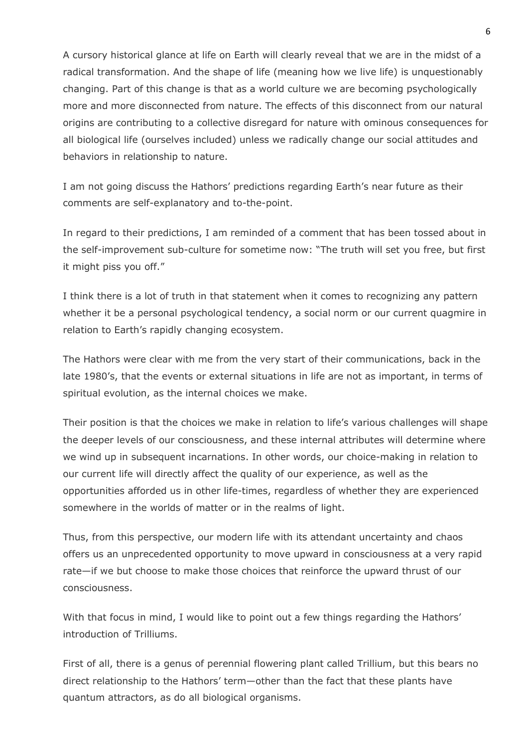A cursory historical glance at life on Earth will clearly reveal that we are in the midst of a radical transformation. And the shape of life (meaning how we live life) is unquestionably changing. Part of this change is that as a world culture we are becoming psychologically more and more disconnected from nature. The effects of this disconnect from our natural origins are contributing to a collective disregard for nature with ominous consequences for all biological life (ourselves included) unless we radically change our social attitudes and behaviors in relationship to nature.

I am not going discuss the Hathors' predictions regarding Earth's near future as their comments are self-explanatory and to-the-point.

In regard to their predictions, I am reminded of a comment that has been tossed about in the self-improvement sub-culture for sometime now: "The truth will set you free, but first it might piss you off."

I think there is a lot of truth in that statement when it comes to recognizing any pattern whether it be a personal psychological tendency, a social norm or our current quagmire in relation to Earth's rapidly changing ecosystem.

The Hathors were clear with me from the very start of their communications, back in the late 1980's, that the events or external situations in life are not as important, in terms of spiritual evolution, as the internal choices we make.

Their position is that the choices we make in relation to life's various challenges will shape the deeper levels of our consciousness, and these internal attributes will determine where we wind up in subsequent incarnations. In other words, our choice-making in relation to our current life will directly affect the quality of our experience, as well as the opportunities afforded us in other life-times, regardless of whether they are experienced somewhere in the worlds of matter or in the realms of light.

Thus, from this perspective, our modern life with its attendant uncertainty and chaos offers us an unprecedented opportunity to move upward in consciousness at a very rapid rate—if we but choose to make those choices that reinforce the upward thrust of our consciousness.

With that focus in mind, I would like to point out a few things regarding the Hathors' introduction of Trilliums.

First of all, there is a genus of perennial flowering plant called Trillium, but this bears no direct relationship to the Hathors' term—other than the fact that these plants have quantum attractors, as do all biological organisms.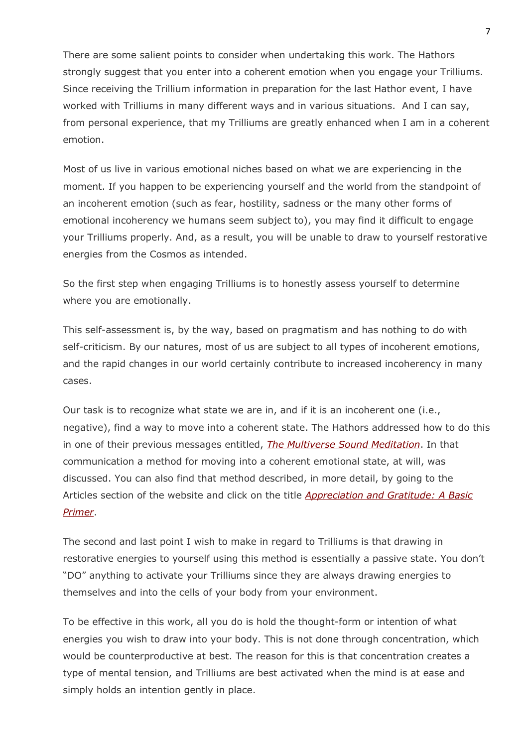There are some salient points to consider when undertaking this work. The Hathors strongly suggest that you enter into a coherent emotion when you engage your Trilliums. Since receiving the Trillium information in preparation for the last Hathor event, I have worked with Trilliums in many different ways and in various situations. And I can say, from personal experience, that my Trilliums are greatly enhanced when I am in a coherent emotion.

Most of us live in various emotional niches based on what we are experiencing in the moment. If you happen to be experiencing yourself and the world from the standpoint of an incoherent emotion (such as fear, hostility, sadness or the many other forms of emotional incoherency we humans seem subject to), you may find it difficult to engage your Trilliums properly. And, as a result, you will be unable to draw to yourself restorative energies from the Cosmos as intended.

So the first step when engaging Trilliums is to honestly assess yourself to determine where you are emotionally.

This self-assessment is, by the way, based on pragmatism and has nothing to do with self-criticism. By our natures, most of us are subject to all types of incoherent emotions, and the rapid changes in our world certainly contribute to increased incoherency in many cases.

Our task is to recognize what state we are in, and if it is an incoherent one (i.e., negative), find a way to move into a coherent state. The Hathors addressed how to do this in one of their previous messages entitled, *The Multiverse Sound Meditation*. In that communication a method for moving into a coherent emotional state, at will, was discussed. You can also find that method described, in more detail, by going to the Articles section of the website and click on the title *Appreciation and Gratitude: A Basic Primer*.

The second and last point I wish to make in regard to Trilliums is that drawing in restorative energies to yourself using this method is essentially a passive state. You don't "DO" anything to activate your Trilliums since they are always drawing energies to themselves and into the cells of your body from your environment.

To be effective in this work, all you do is hold the thought-form or intention of what energies you wish to draw into your body. This is not done through concentration, which would be counterproductive at best. The reason for this is that concentration creates a type of mental tension, and Trilliums are best activated when the mind is at ease and simply holds an intention gently in place.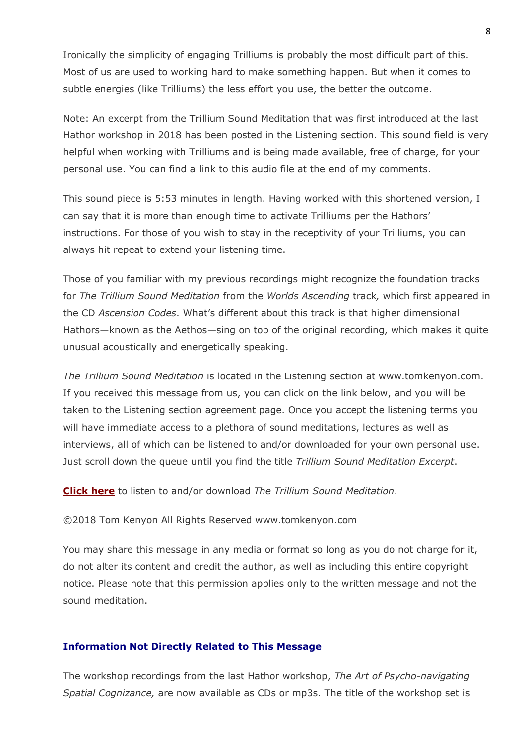Ironically the simplicity of engaging Trilliums is probably the most difficult part of this. Most of us are used to working hard to make something happen. But when it comes to subtle energies (like Trilliums) the less effort you use, the better the outcome.

Note: An excerpt from the Trillium Sound Meditation that was first introduced at the last Hathor workshop in 2018 has been posted in the Listening section. This sound field is very helpful when working with Trilliums and is being made available, free of charge, for your personal use. You can find a link to this audio file at the end of my comments.

This sound piece is 5:53 minutes in length. Having worked with this shortened version, I can say that it is more than enough time to activate Trilliums per the Hathors' instructions. For those of you wish to stay in the receptivity of your Trilliums, you can always hit repeat to extend your listening time.

Those of you familiar with my previous recordings might recognize the foundation tracks for *The Trillium Sound Meditation* from the *Worlds Ascending* track*,* which first appeared in the CD *Ascension Codes*. What's different about this track is that higher dimensional Hathors—known as the Aethos—sing on top of the original recording, which makes it quite unusual acoustically and energetically speaking.

*The Trillium Sound Meditation* is located in the Listening section at www.tomkenyon.com. If you received this message from us, you can click on the link below, and you will be taken to the Listening section agreement page. Once you accept the listening terms you will have immediate access to a plethora of sound meditations, lectures as well as interviews, all of which can be listened to and/or downloaded for your own personal use. Just scroll down the queue until you find the title *Trillium Sound Meditation Excerpt*.

**Click here** to listen to and/or download *The Trillium Sound Meditation*.

©2018 Tom Kenyon All Rights Reserved www.tomkenyon.com

You may share this message in any media or format so long as you do not charge for it, do not alter its content and credit the author, as well as including this entire copyright notice. Please note that this permission applies only to the written message and not the sound meditation.

#### **Information Not Directly Related to This Message**

The workshop recordings from the last Hathor workshop, *The Art of Psycho-navigating Spatial Cognizance,* are now available as CDs or mp3s. The title of the workshop set is